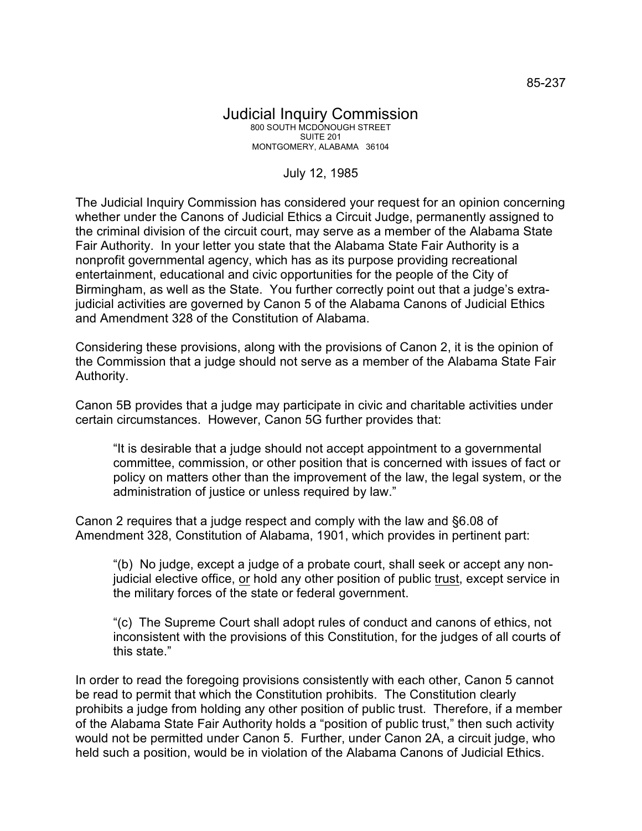## July 12, 1985

The Judicial Inquiry Commission has considered your request for an opinion concerning whether under the Canons of Judicial Ethics a Circuit Judge, permanently assigned to the criminal division of the circuit court, may serve as a member of the Alabama State Fair Authority. In your letter you state that the Alabama State Fair Authority is a nonprofit governmental agency, which has as its purpose providing recreational entertainment, educational and civic opportunities for the people of the City of Birmingham, as well as the State. You further correctly point out that a judge's extrajudicial activities are governed by Canon 5 of the Alabama Canons of Judicial Ethics and Amendment 328 of the Constitution of Alabama.

Considering these provisions, along with the provisions of Canon 2, it is the opinion of the Commission that a judge should not serve as a member of the Alabama State Fair Authority.

Canon 5B provides that a judge may participate in civic and charitable activities under certain circumstances. However, Canon 5G further provides that:

"It is desirable that a judge should not accept appointment to a governmental committee, commission, or other position that is concerned with issues of fact or policy on matters other than the improvement of the law, the legal system, or the administration of justice or unless required by law."

Canon 2 requires that a judge respect and comply with the law and §6.08 of Amendment 328, Constitution of Alabama, 1901, which provides in pertinent part:

"(b) No judge, except a judge of a probate court, shall seek or accept any nonjudicial elective office, or hold any other position of public trust, except service in the military forces of the state or federal government.

"(c) The Supreme Court shall adopt rules of conduct and canons of ethics, not inconsistent with the provisions of this Constitution, for the judges of all courts of this state."

In order to read the foregoing provisions consistently with each other, Canon 5 cannot be read to permit that which the Constitution prohibits. The Constitution clearly prohibits a judge from holding any other position of public trust. Therefore, if a member of the Alabama State Fair Authority holds a "position of public trust," then such activity would not be permitted under Canon 5. Further, under Canon 2A, a circuit judge, who held such a position, would be in violation of the Alabama Canons of Judicial Ethics.